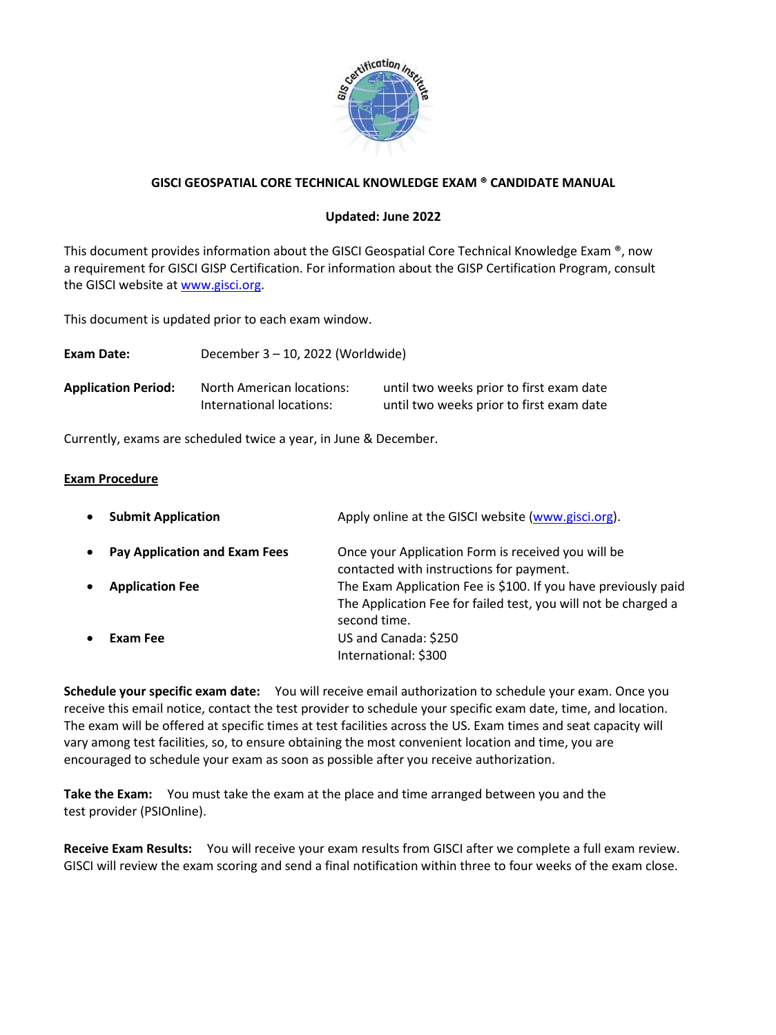

# **GISCI GEOSPATIAL CORE TECHNICAL KNOWLEDGE EXAM ® CANDIDATE MANUAL**

## **Updated: June 2022**

This document provides information about the GISCI Geospatial Core Technical Knowledge Exam ®, now a requirement for GISCI GISP Certification. For information about the GISP Certification Program, consult the GISCI website at www.gisci.org.

This document is updated prior to each exam window.

| Exam Date:                 | December 3 - 10, 2022 (Worldwide)                     |                                                                                      |
|----------------------------|-------------------------------------------------------|--------------------------------------------------------------------------------------|
| <b>Application Period:</b> | North American locations:<br>International locations: | until two weeks prior to first exam date<br>until two weeks prior to first exam date |

Currently, exams are scheduled twice a year, in June & December.

### **Exam Procedure**

| $\bullet$ | <b>Submit Application</b>     | Apply online at the GISCI website (www.gisci.org).                                                                                               |
|-----------|-------------------------------|--------------------------------------------------------------------------------------------------------------------------------------------------|
| $\bullet$ | Pay Application and Exam Fees | Once your Application Form is received you will be<br>contacted with instructions for payment.                                                   |
|           | <b>Application Fee</b>        | The Exam Application Fee is \$100. If you have previously paid<br>The Application Fee for failed test, you will not be charged a<br>second time. |
| $\bullet$ | Exam Fee                      | US and Canada: \$250<br>International: \$300                                                                                                     |

**Schedule your specific exam date:** You will receive email authorization to schedule your exam. Once you receive this email notice, contact the test provider to schedule your specific exam date, time, and location. The exam will be offered at specific times at test facilities across the US. Exam times and seat capacity will vary among test facilities, so, to ensure obtaining the most convenient location and time, you are encouraged to schedule your exam as soon as possible after you receive authorization.

**Take the Exam:** You must take the exam at the place and time arranged between you and the test provider (PSIOnline).

**Receive Exam Results:** You will receive your exam results from GISCI after we complete a full exam review. GISCI will review the exam scoring and send a final notification within three to four weeks of the exam close.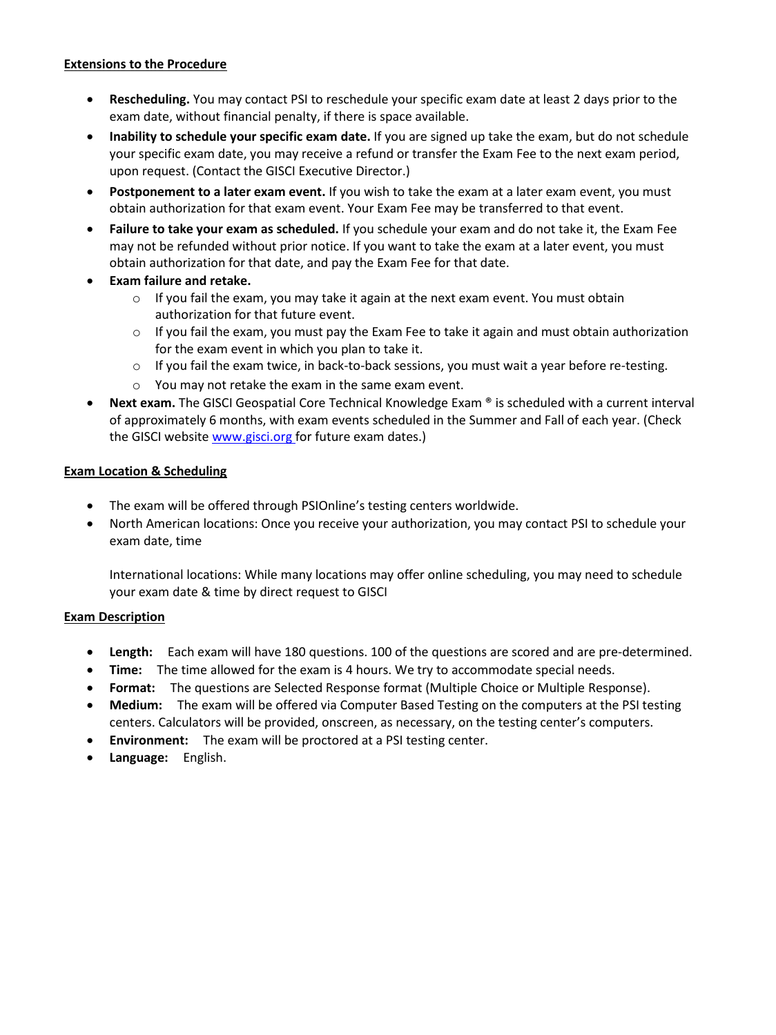### **Extensions to the Procedure**

- **Rescheduling.** You may contact PSI to reschedule your specific exam date at least 2 days prior to the exam date, without financial penalty, if there is space available.
- **Inability to schedule your specific exam date.** If you are signed up take the exam, but do not schedule your specific exam date, you may receive a refund or transfer the Exam Fee to the next exam period, upon request. (Contact the GISCI Executive Director.)
- **Postponement to a later exam event.** If you wish to take the exam at a later exam event, you must obtain authorization for that exam event. Your Exam Fee may be transferred to that event.
- **Failure to take your exam as scheduled.** If you schedule your exam and do not take it, the Exam Fee may not be refunded without prior notice. If you want to take the exam at a later event, you must obtain authorization for that date, and pay the Exam Fee for that date.
- **Exam failure and retake.** 
	- $\circ$  If you fail the exam, you may take it again at the next exam event. You must obtain authorization for that future event.
	- $\circ$  If you fail the exam, you must pay the Exam Fee to take it again and must obtain authorization for the exam event in which you plan to take it.
	- $\circ$  If you fail the exam twice, in back-to-back sessions, you must wait a year before re-testing.
	- o You may not retake the exam in the same exam event.
- **Next exam.** The GISCI Geospatial Core Technical Knowledge Exam ® is scheduled with a current interval of approximately 6 months, with exam events scheduled in the Summer and Fall of each year. (Check the GISCI website www.gisci.org for future exam dates.)

## **Exam Location & Scheduling**

- The exam will be offered through PSIOnline's testing centers worldwide.
- North American locations: Once you receive your authorization, you may contact PSI to schedule your exam date, time

International locations: While many locations may offer online scheduling, you may need to schedule your exam date & time by direct request to GISCI

## **Exam Description**

- **Length:** Each exam will have 180 questions. 100 of the questions are scored and are pre-determined.
- **Time:** The time allowed for the exam is 4 hours. We try to accommodate special needs.
- **Format:** The questions are Selected Response format (Multiple Choice or Multiple Response).
- **Medium:** The exam will be offered via Computer Based Testing on the computers at the PSI testing centers. Calculators will be provided, onscreen, as necessary, on the testing center's computers.
- **Environment:** The exam will be proctored at a PSI testing center.
- **Language:** English.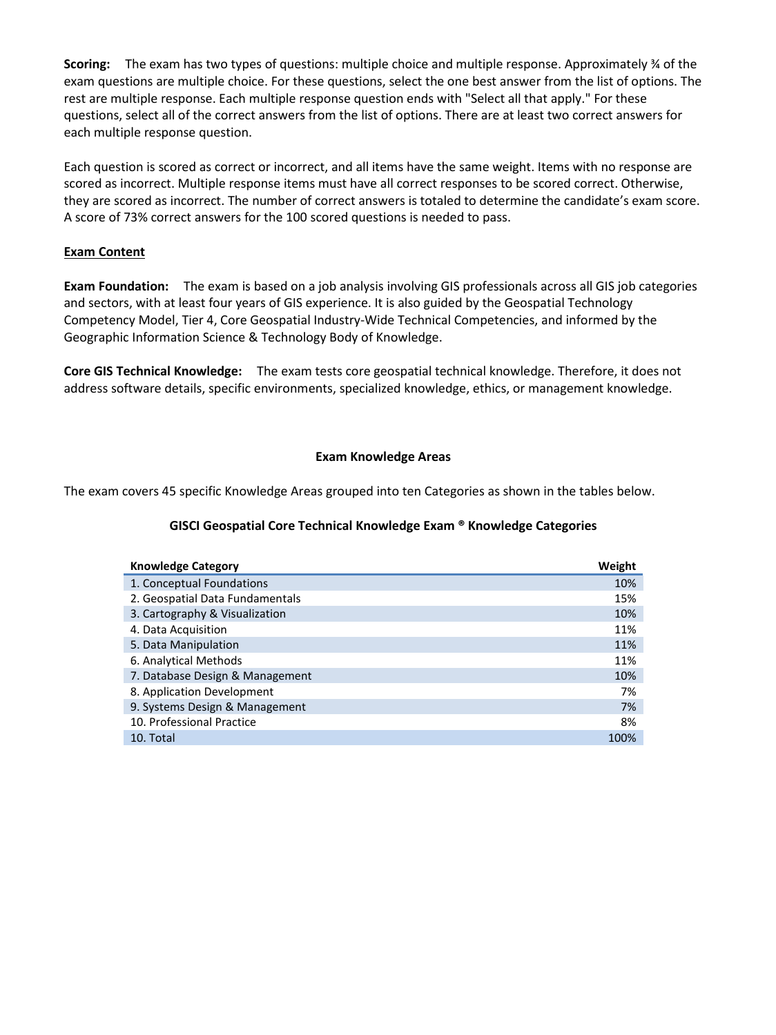**Scoring:** The exam has two types of questions: multiple choice and multiple response. Approximately ¾ of the exam questions are multiple choice. For these questions, select the one best answer from the list of options. The rest are multiple response. Each multiple response question ends with "Select all that apply." For these questions, select all of the correct answers from the list of options. There are at least two correct answers for each multiple response question.

Each question is scored as correct or incorrect, and all items have the same weight. Items with no response are scored as incorrect. Multiple response items must have all correct responses to be scored correct. Otherwise, they are scored as incorrect. The number of correct answers is totaled to determine the candidate's exam score. A score of 73% correct answers for the 100 scored questions is needed to pass.

## **Exam Content**

**Exam Foundation:** The exam is based on a job analysis involving GIS professionals across all GIS job categories and sectors, with at least four years of GIS experience. It is also guided by the Geospatial Technology Competency Model, Tier 4, Core Geospatial Industry-Wide Technical Competencies, and informed by the Geographic Information Science & Technology Body of Knowledge.

**Core GIS Technical Knowledge:** The exam tests core geospatial technical knowledge. Therefore, it does not address software details, specific environments, specialized knowledge, ethics, or management knowledge.

## **Exam Knowledge Areas**

The exam covers 45 specific Knowledge Areas grouped into ten Categories as shown in the tables below.

## **GISCI Geospatial Core Technical Knowledge Exam ® Knowledge Categories**

| <b>Knowledge Category</b>       | Weight |
|---------------------------------|--------|
| 1. Conceptual Foundations       | 10%    |
| 2. Geospatial Data Fundamentals | 15%    |
| 3. Cartography & Visualization  | 10%    |
| 4. Data Acquisition             | 11%    |
| 5. Data Manipulation            | 11%    |
| 6. Analytical Methods           | 11%    |
| 7. Database Design & Management | 10%    |
| 8. Application Development      | 7%     |
| 9. Systems Design & Management  | 7%     |
| 10. Professional Practice       | 8%     |
| 10. Total                       | 100%   |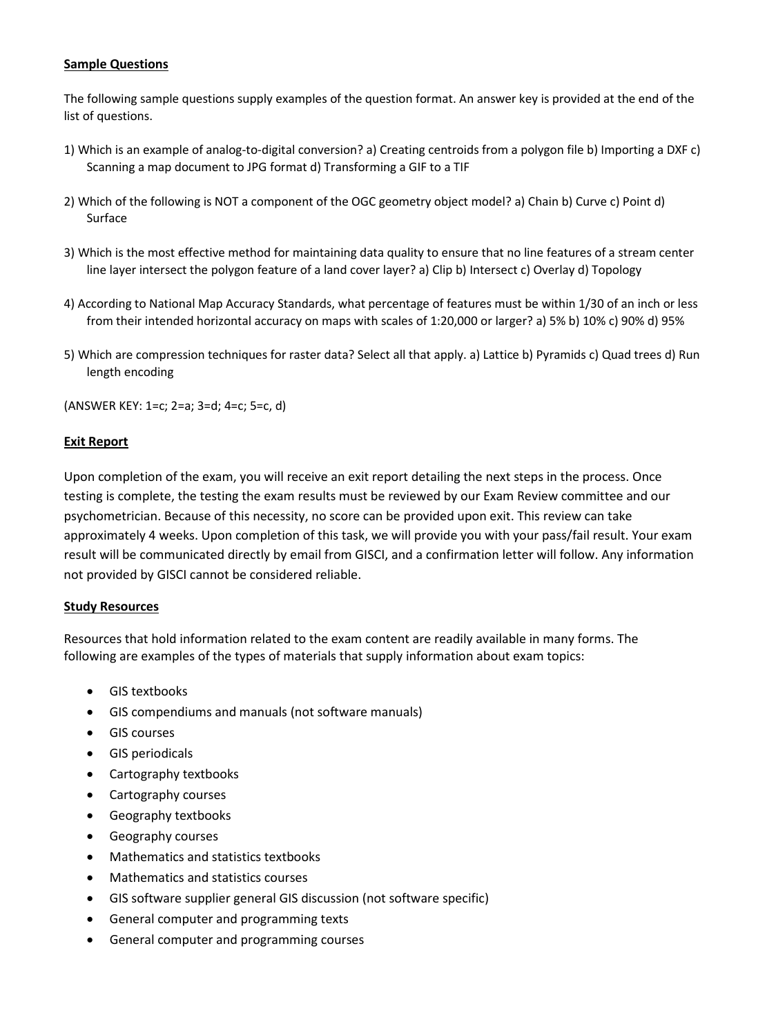### **Sample Questions**

The following sample questions supply examples of the question format. An answer key is provided at the end of the list of questions.

- 1) Which is an example of analog-to-digital conversion? a) Creating centroids from a polygon file b) Importing a DXF c) Scanning a map document to JPG format d) Transforming a GIF to a TIF
- 2) Which of the following is NOT a component of the OGC geometry object model? a) Chain b) Curve c) Point d) Surface
- 3) Which is the most effective method for maintaining data quality to ensure that no line features of a stream center line layer intersect the polygon feature of a land cover layer? a) Clip b) Intersect c) Overlay d) Topology
- 4) According to National Map Accuracy Standards, what percentage of features must be within 1/30 of an inch or less from their intended horizontal accuracy on maps with scales of 1:20,000 or larger? a) 5% b) 10% c) 90% d) 95%
- 5) Which are compression techniques for raster data? Select all that apply. a) Lattice b) Pyramids c) Quad trees d) Run length encoding

(ANSWER KEY: 1=c; 2=a; 3=d; 4=c; 5=c, d)

#### **Exit Report**

Upon completion of the exam, you will receive an exit report detailing the next steps in the process. Once testing is complete, the testing the exam results must be reviewed by our Exam Review committee and our psychometrician. Because of this necessity, no score can be provided upon exit. This review can take approximately 4 weeks. Upon completion of this task, we will provide you with your pass/fail result. Your exam result will be communicated directly by email from GISCI, and a confirmation letter will follow. Any information not provided by GISCI cannot be considered reliable.

#### **Study Resources**

Resources that hold information related to the exam content are readily available in many forms. The following are examples of the types of materials that supply information about exam topics:

- GIS textbooks
- GIS compendiums and manuals (not software manuals)
- GIS courses
- GIS periodicals
- Cartography textbooks
- Cartography courses
- Geography textbooks
- Geography courses
- Mathematics and statistics textbooks
- Mathematics and statistics courses
- GIS software supplier general GIS discussion (not software specific)
- General computer and programming texts
- General computer and programming courses